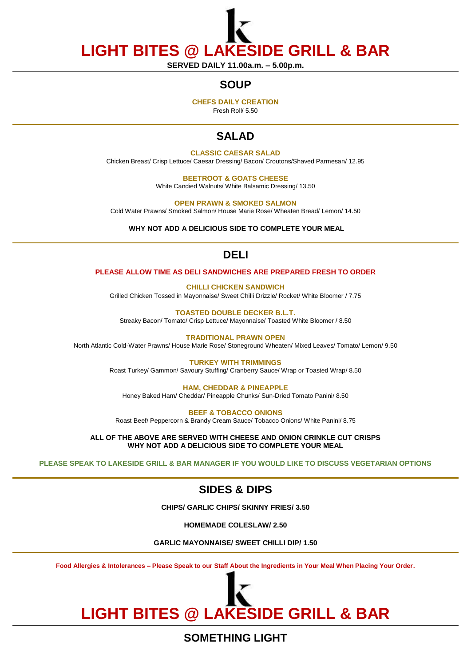**LIGHT BITES @ LAKESIDE GRILL & BAR**

**SERVED DAILY 11.00a.m. – 5.00p.m.**

## **SOUP**

**CHEFS DAILY CREATION**

Fresh Roll/ 5.50

## **SALAD**

#### **CLASSIC CAESAR SALAD**

Chicken Breast/ Crisp Lettuce/ Caesar Dressing/ Bacon/ Croutons/Shaved Parmesan/ 12.95

**BEETROOT & GOATS CHEESE** White Candied Walnuts/ White Balsamic Dressing/ 13.50

**OPEN PRAWN & SMOKED SALMON** Cold Water Prawns/ Smoked Salmon/ House Marie Rose/ Wheaten Bread/ Lemon/ 14.50

**WHY NOT ADD A DELICIOUS SIDE TO COMPLETE YOUR MEAL**

# **DELI**

#### **PLEASE ALLOW TIME AS DELI SANDWICHES ARE PREPARED FRESH TO ORDER**

**CHILLI CHICKEN SANDWICH** Grilled Chicken Tossed in Mayonnaise/ Sweet Chilli Drizzle/ Rocket/ White Bloomer / 7.75

**TOASTED DOUBLE DECKER B.L.T.**  Streaky Bacon/ Tomato/ Crisp Lettuce/ Mayonnaise/ Toasted White Bloomer / 8.50

**TRADITIONAL PRAWN OPEN** North Atlantic Cold-Water Prawns/ House Marie Rose/ Stoneground Wheaten/ Mixed Leaves/ Tomato/ Lemon/ 9.50

> **TURKEY WITH TRIMMINGS** Roast Turkey/ Gammon/ Savoury Stuffing/ Cranberry Sauce/ Wrap or Toasted Wrap/ 8.50

**HAM, CHEDDAR & PINEAPPLE** Honey Baked Ham/ Cheddar/ Pineapple Chunks/ Sun-Dried Tomato Panini/ 8.50

**BEEF & TOBACCO ONIONS** Roast Beef/ Peppercorn & Brandy Cream Sauce/ Tobacco Onions/ White Panini/ 8.75

**ALL OF THE ABOVE ARE SERVED WITH CHEESE AND ONION CRINKLE CUT CRISPS WHY NOT ADD A DELICIOUS SIDE TO COMPLETE YOUR MEAL**

**PLEASE SPEAK TO LAKESIDE GRILL & BAR MANAGER IF YOU WOULD LIKE TO DISCUSS VEGETARIAN OPTIONS**

# **SIDES & DIPS**

**CHIPS/ GARLIC CHIPS/ SKINNY FRIES/ 3.50**

**HOMEMADE COLESLAW/ 2.50**

**GARLIC MAYONNAISE/ SWEET CHILLI DIP/ 1.50**

**Food Allergies & Intolerances – Please Speak to our Staff About the Ingredients in Your Meal When Placing Your Order.**

# **LIGHT BITES @ LAKESIDE GRILL & BAR**

**SOMETHING LIGHT**